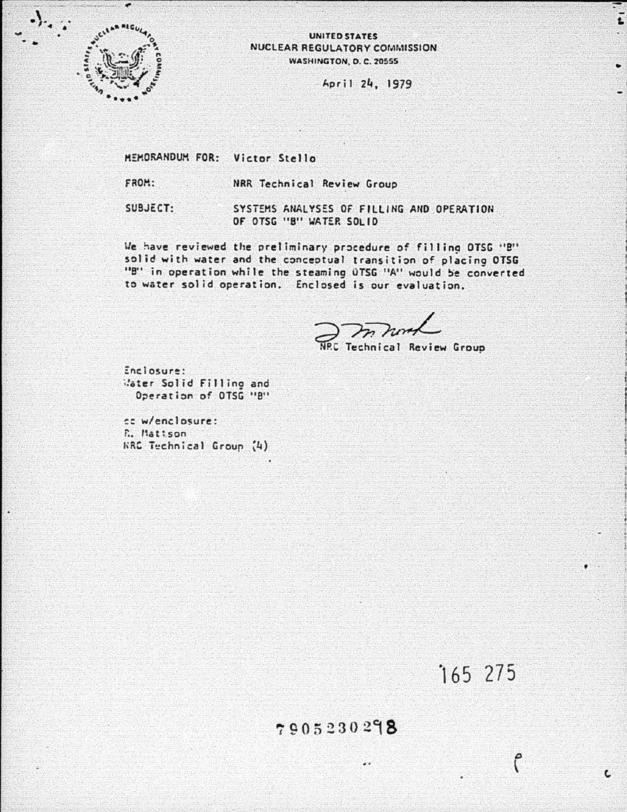

## UNITED STATES NUCLEAR REGULATORY COMMISSION WASHINGTON, D.C. 20555

April 24, 1979

MEMORANDUM FOR: Victor Stello

FROM:

NRR Technical Review Group

SUBJECT:

SYSTEMS ANALYSES OF FILLING AND OPERATION OF OTSG "B" WATER SOLID

We have reviewed the preliminary procedure of filling OTSG "B" solid with water and the conceptual transition of placing OTSG "B" in operation while the steaming UTSG "A" would be converted to water solid operation. Enclosed is our evaluation.

Technical Review Group

Enclosure: Water Solid Fillino and Operation of OTSG "B"

cc w/enclosure: R. Matison **KRC** Technical Group (4)

165 275

Ĉ

 $\mathbf{c}$ 

## 7905230298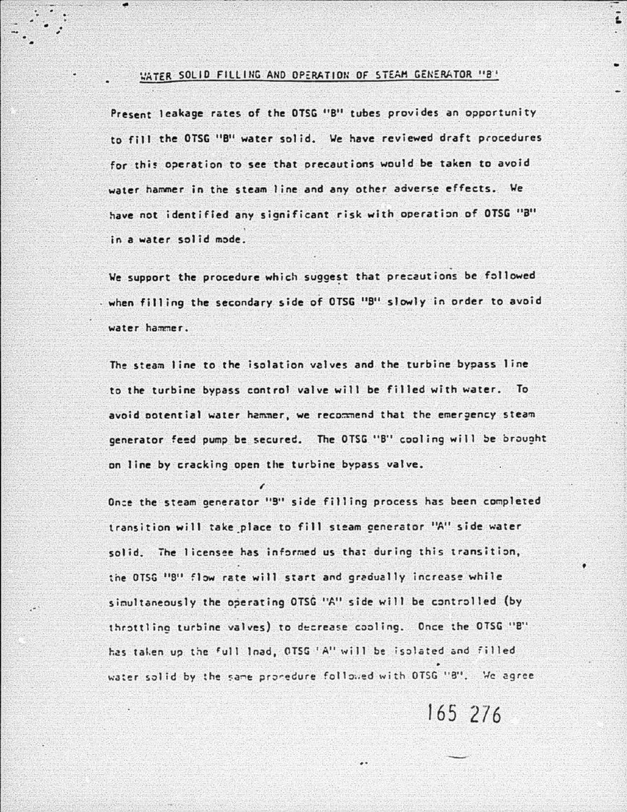## WATER SOLID FILLING AND OPERATION OF STEAM GENERATOR "8"

Present leakage rates of the OTSG "B" tubes provides an opportunity to fill the OTSG "B" water solid. We have reviewed draft procedures for this operation to see that precautions would be taken to avoid water hammer in the steam line and any other adverse effects. We have not identified any significant risk with operation of OTSG "B" in a water solid mode.

We support the procedure which suggest that precautions be followed when filling the secondary side of OTSG "B" slowly in order to avoid water hammer.

The steam line to the isolation valves and the turbine bypass line to the turbine bypass control valve will be filled with water. To avoid potential water hammer, we recommend that the emergency steam generator feed pump be secured. The OTSG "B" cooling will be brought on line by cracking open the turbine bypass valve.

Once the steam generator "9" side filling process has been completed transition will take place to fill steam cenerator "A" side water solid. The licensee has informed us that during this transition. the OTSG "B" flow rate will start and gradually increase while simultaneously the operating OTSG "A" side will be controlled (by throttling turbine valves) to decrease cooling. Once the OTSG "B" has taken up the full load, OTSG 'A" will be isolated and filled water solid by the same pronedure followed with OTSG "8". We agree

165 276

 $\ddot{i}$